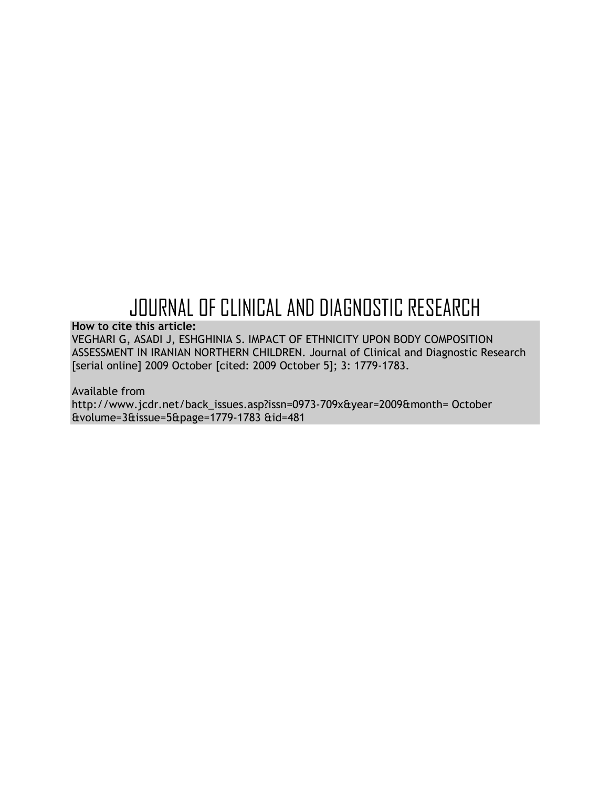# JOURNAL OF CLINICAL AND DIAGNOSTIC RESEARCH

**How to cite this article:**

VEGHARI G, ASADI J, ESHGHINIA S. IMPACT OF ETHNICITY UPON BODY COMPOSITION ASSESSMENT IN IRANIAN NORTHERN CHILDREN. Journal of Clinical and Diagnostic Research [serial online] 2009 October [cited: 2009 October 5]; 3: 1779-1783.

Available from http://www.jcdr.net/back\_issues.asp?issn=0973-709x&year=2009&month= October &volume=3&issue=5&page=1779-1783 &id=481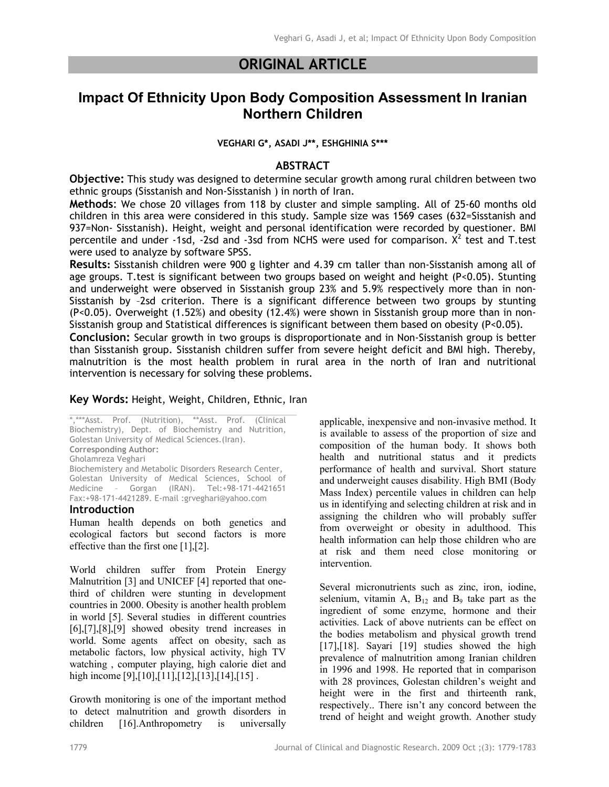## **ORIGINAL ARTICLE**

# **Impact Of Ethnicity Upon Body Composition Assessment In Iranian Northern Children**

**VEGHARI G\*, ASADI J\*\*, ESHGHINIA S\*\*\***

#### **ABSTRACT**

**Objective:** This study was designed to determine secular growth among rural children between two ethnic groups (Sisstanish and Non-Sisstanish ) in north of Iran.

**Methods**: We chose 20 villages from 118 by cluster and simple sampling. All of 25-60 months old children in this area were considered in this study. Sample size was 1569 cases (632=Sisstanish and 937=Non- Sisstanish). Height, weight and personal identification were recorded by questioner. BMI percentile and under -1sd, -2sd and -3sd from NCHS were used for comparison.  $X^2$  test and T.test were used to analyze by software SPSS.

**Results:** Sisstanish children were 900 g lighter and 4.39 cm taller than non-Sisstanish among all of age groups. T.test is significant between two groups based on weight and height (P<0.05). Stunting and underweight were observed in Sisstanish group 23% and 5.9% respectively more than in non-Sisstanish by –2sd criterion. There is a significant difference between two groups by stunting (P<0.05). Overweight (1.52%) and obesity (12.4%) were shown in Sisstanish group more than in non-Sisstanish group and Statistical differences is significant between them based on obesity (P<0.05).

**Conclusion:** Secular growth in two groups is disproportionate and in Non-Sisstanish group is better than Sisstanish group. Sisstanish children suffer from severe height deficit and BMI high. Thereby, malnutrition is the most health problem in rural area in the north of Iran and nutritional intervention is necessary for solving these problems.

#### **Key Words:** Height, Weight, Children, Ethnic, Iran

\*,\*\*\*Asst. Prof. (Nutrition), \*\*Asst. Prof. (Clinical Biochemistry), Dept. of Biochemistry and Nutrition, Golestan University of Medical Sciences.(Iran). **Corresponding Author:** Gholamreza Veghari Biochemistery and Metabolic Disorders Research Center, Golestan University of Medical Sciences, School of Medicine – Gorgan (IRAN). Tel:+98-171-4421651 Fax:+98-171-4421289. E-mail :grveghari@yahoo.com

#### **Introduction**

Human health depends on both genetics and ecological factors but second factors is more effective than the first one [1],[2].

World children suffer from Protein Energy Malnutrition [3] and UNICEF [4] reported that onethird of children were stunting in development countries in 2000. Obesity is another health problem in world [5]. Several studies in different countries  $[6]$ , $[7]$ , $[8]$ , $[9]$  showed obesity trend increases in world. Some agents affect on obesity, sach as metabolic factors, low physical activity, high TV watching , computer playing, high calorie diet and high income [9],[10],[11],[12],[13],[14],[15].

Growth monitoring is one of the important method to detect malnutrition and growth disorders in children [16].Anthropometry is universally

applicable, inexpensive and non-invasive method. It is available to assess of the proportion of size and composition of the human body. It shows both health and nutritional status and it predicts performance of health and survival. Short stature and underweight causes disability. High BMI (Body Mass Index) percentile values in children can help us in identifying and selecting children at risk and in assigning the children who will probably suffer from overweight or obesity in adulthood. This health information can help those children who are at risk and them need close monitoring or intervention.

Several micronutrients such as zinc, iron, iodine, selenium, vitamin A,  $B_{12}$  and  $B_9$  take part as the ingredient of some enzyme, hormone and their activities. Lack of above nutrients can be effect on the bodies metabolism and physical growth trend [17],[18]. Sayari [19] studies showed the high prevalence of malnutrition among Iranian children in 1996 and 1998. He reported that in comparison with 28 provinces, Golestan children's weight and height were in the first and thirteenth rank, respectively.. There isn't any concord between the trend of height and weight growth. Another study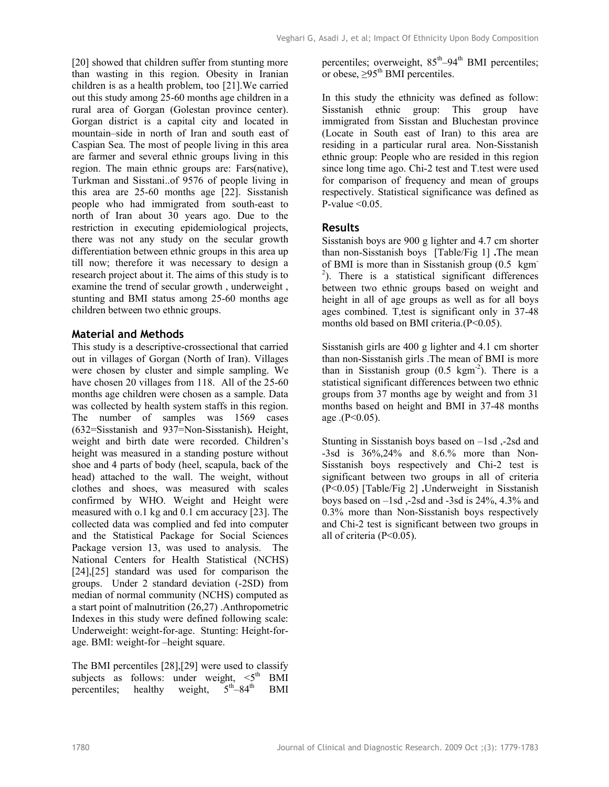[20] showed that children suffer from stunting more than wasting in this region. Obesity in Iranian children is as a health problem, too [21].We carried out this study among 25-60 months age children in a rural area of Gorgan (Golestan province center). Gorgan district is a capital city and located in mountain–side in north of Iran and south east of Caspian Sea. The most of people living in this area are farmer and several ethnic groups living in this region. The main ethnic groups are: Fars(native), Turkman and Sisstani..of 9576 of people living in this area are 25-60 months age [22]. Sisstanish people who had immigrated from south-east to north of Iran about 30 years ago. Due to the restriction in executing epidemiological projects, there was not any study on the secular growth differentiation between ethnic groups in this area up till now; therefore it was necessary to design a research project about it. The aims of this study is to examine the trend of secular growth , underweight , stunting and BMI status among 25-60 months age children between two ethnic groups.

### **Material and Methods**

This study is a descriptive-crossectional that carried out in villages of Gorgan (North of Iran). Villages were chosen by cluster and simple sampling. We have chosen 20 villages from 118. All of the 25-60 months age children were chosen as a sample. Data was collected by health system staffs in this region. The number of samples was 1569 cases (632=Sisstanish and 937=Non-Sisstanish)**.** Height, weight and birth date were recorded. Children's height was measured in a standing posture without shoe and 4 parts of body (heel, scapula, back of the head) attached to the wall. The weight, without clothes and shoes, was measured with scales confirmed by WHO. Weight and Height were measured with o.1 kg and 0.1 cm accuracy [23]. The collected data was complied and fed into computer and the Statistical Package for Social Sciences Package version 13, was used to analysis. The National Centers for Health Statistical (NCHS) [24], [25] standard was used for comparison the groups. Under 2 standard deviation (-2SD) from median of normal community (NCHS) computed as a start point of malnutrition (26,27) .Anthropometric Indexes in this study were defined following scale: Underweight: weight-for-age. Stunting: Height-forage. BMI: weight-for –height square.

The BMI percentiles [28],[29] were used to classify subjects as follows: under weight,  $\leq 5$ <sup>th</sup> BMI percentiles; healthy weight,  $5<sup>th</sup>-84<sup>th</sup>$  BMI

percentiles; overweight,  $85<sup>th</sup>-94<sup>th</sup>$  BMI percentiles; or obese,  $>95<sup>th</sup>$  BMI percentiles.

In this study the ethnicity was defined as follow: Sisstanish ethnic group: This group have immigrated from Sisstan and Bluchestan province (Locate in South east of Iran) to this area are residing in a particular rural area. Non-Sisstanish ethnic group: People who are resided in this region since long time ago. Chi-2 test and T.test were used for comparison of frequency and mean of groups respectively. Statistical significance was defined as P-value  $\leq 0.05$ .

### **Results**

Sisstanish boys are 900 g lighter and 4.7 cm shorter than non-Sisstanish boys [Table/Fig 1] **.**The mean of BMI is more than in Sisstanish group (0.5 kgm- $2$ ). There is a statistical significant differences between two ethnic groups based on weight and height in all of age groups as well as for all boys ages combined. T,test is significant only in 37-48 months old based on BMI criteria.(P<0.05).

Sisstanish girls are 400 g lighter and 4.1 cm shorter than non-Sisstanish girls .The mean of BMI is more than in Sisstanish group  $(0.5 \text{ kgm}^2)$ . There is a statistical significant differences between two ethnic groups from 37 months age by weight and from 31 months based on height and BMI in 37-48 months age  $(P<0.05)$ .

Stunting in Sisstanish boys based on –1sd ,-2sd and -3sd is 36%,24% and 8.6.% more than Non-Sisstanish boys respectively and Chi-2 test is significant between two groups in all of criteria (P<0.05) [Table/Fig 2] **.**Underweight in Sisstanish boys based on  $-1$ sd  $\frac{1}{2}$ sd and  $-3$ sd is 24%, 4.3% and 0.3% more than Non-Sisstanish boys respectively and Chi-2 test is significant between two groups in all of criteria (P<0.05).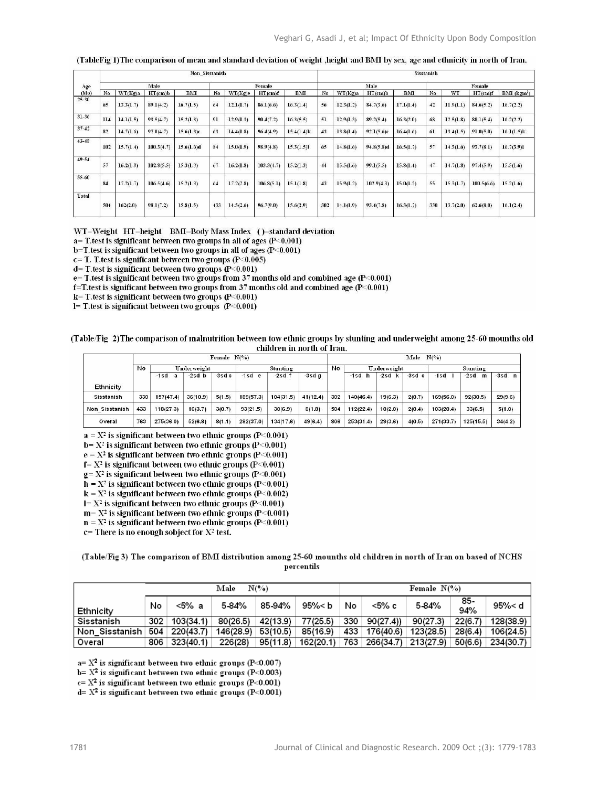| Age<br>(Mo) |                 | <b>Non Sisstanish</b> |            |            |     |           |               |               |     | Sisstanish |            |           |     |           |            |                  |  |
|-------------|-----------------|-----------------------|------------|------------|-----|-----------|---------------|---------------|-----|------------|------------|-----------|-----|-----------|------------|------------------|--|
|             | Male            |                       |            |            |     | Female    |               |               |     | Male       |            |           |     | Female    |            |                  |  |
|             | No              | WT(Kg)a               | HT(cmb     | BMI        | No  | WT(Kg)e   | $HT$ (cm) $f$ | <b>BMI</b>    | No  | WT(Kg)a    | HT(cmb     | BMI       | No  | WT        | $HT$ (cm)f | $BMI$ ( $kgm2$ ) |  |
| $25 - 30$   | 65              | 13.3(1.7)             | 89.1(4.2)  | 16.7(1.5)  | 64  | 12.1(1.7) | 86.1(6.6)     | 16.3(1.4)     | 56  | 12.3(1.2)  | 84.7(3.6)  | 17.1(1.4) | 42  | 11.9(1.1) | 84.6(5.2)  | 16.7(2.2)        |  |
| $31 - 36$   | 114             | 14.1(1.5)             | 93.5(4.7)  | 15.2(1.3)  | 91  | 12.9(1.3) | 90.4(7.2)     | 16.3(5.5)     | 51  | 12.9(1.3)  | 89.2(5.4)  | 16.3(2.0) | 68  | 12.5(1.8) | 88.1(5.4)  | 16.2(2.2)        |  |
| $37 - 42$   | 82              | 14.7(1.6)             | 97.0(4.7)  | 15.6(1.3)c | 63  | 14.4(1.8) | 96.4(4.9)     | $15.4(1.4)$ k | 43  | 13.8(1.4)  | 92.1(5.6)c | 16.4(1.6) | 61  | 13.4(1.5) | 91.0(5.0)  | $16.1(1.5)$ k    |  |
| $43 - 48$   | 102             | 15.7(1.4)             | 100.3(4.7) | 15.6(1.6)d | 84  | 15.0(1.9) | 98.9(4.8)     | 15.3(1.5)1    | 65  | 14.8(1.6)  | 94.8(5.8)d | 16.5(1.7) | 57  | 14.3(1.6) | 93.7(8.1)  | 16.7(3.9)1       |  |
| $49 - 54$   | 57              | 16.2(1.9)             | 102.8(5.5) | 15.3(1.3)  | 67  | 16.2(1.8) | 103.3(4.7)    | 15.2(1.3)     | 44  | 15.5(1.6)  | 99.1(5.5)  | 15.8(1.4) | 47  | 14.7(1.8) | 97.4(5.9)  | 15.5(1.6)        |  |
| $55 - 60$   | $\overline{84}$ | 17.2(1.7)             | 106.5(4.6) | 15.2(1.3)  | 64  | 17.2(2.8) | 106.8(5.1)    | 15.1(1.8)     | 43  | 15.9(1.2)  | 102.9(4.3) | 15.0(1.2) | 55  | 15.3(1.7) | 100.5(6.6) | 15.2(1.6)        |  |
| Total       | 504             | 162(2.0)              | 98.1(7.2)  | 15.8(1.5)  | 433 | 14.5(2.6) | 96.7(9.0)     | 15.6(2.9)     | 302 | 14.1(1.9)  | 93.4(7.8)  | 16.3(1.7) | 330 | 13.7(2.0) | 62.6(8.0)  | 16.1(2.4)        |  |

(TableFig 1) The comparison of mean and standard deviation of weight , height and BMI by sex, age and ethnicity in north of Iran.

WT=Weight HT=height BMI=Body Mass Index ()=standard deviation

 $a=$  T.test is significant between two groups in all of ages (P<0.001)

 $b = T$  test is significant between two groups in all of ages ( $P < 0.001$ )

 $c = T$ . T. test is significant between two groups (P<0.005)

 $d=$  T.test is significant between two groups (P<0.001)

e= T.test is significant between two groups from 37 months old and combined age (P<0.001)

f=T.test is significant between two groups from 37 months old and combined age (P<0.001)

 $k$  = T.test is significant between two groups (P<0.001)

 $I = T$ . test is significant between two groups (P<0.001)

#### (Table/Fig 2) The comparison of malnutrition between tow ethnic groups by stunting and underweight among 25-60 mounths old children in north of Iran.

|                | Female $N(\%)$    |           |          |          |           |           |          |     | Male $N(\%)$ |         |                         |           |              |          |  |  |
|----------------|-------------------|-----------|----------|----------|-----------|-----------|----------|-----|--------------|---------|-------------------------|-----------|--------------|----------|--|--|
|                | No<br>Underweight |           |          | Stunting |           |           | No       |     | Underweight  |         | Stunting                |           |              |          |  |  |
|                |                   | $-1$ sd   | 2sd b    | 3sdc     | $-1$ sde  | $2sd$ f   | $-3sdq$  |     | $-1$ sd<br>h | 2sc     | $-3s$ c<br>$\mathbf{c}$ | -1sd      | $-2s$ d<br>m | $-3sd$ n |  |  |
| Ethnicity      |                   |           |          |          |           |           |          |     |              |         |                         |           |              |          |  |  |
| Sisstanish     | 330               | 157(47.4) | 36(10.9) | 5(1.5)   | 189(57.3) | 104(31.5) | 41(12.4) | 302 | 140(46.4)    | 19(6.3) | 2(0.7)                  | 169(56.0) | 92(30.5)     | 29(9.6)  |  |  |
| Non Sisstanish | 433               | 118(27.3) | 16(3.7)  | 3(0.7)   | 93(21.5)  | 30(6.9)   | 8(1.8)   | 504 | 112(22.4)    | 10(2.0) | 2(0.4)                  | 103(20.4) | 33(6.5)      | 5(1.0)   |  |  |
| Overal         | 763               | 275(36.0) | 52(6.8)  | 8(11)    | 282(37.0) | 134(17.6) | 49(6.4)  | 806 | 253(31.4)    | 29(3.6) | 4(0.5)                  | 271(33.7) | 125(15.5)    | 34(42)   |  |  |

 $a = X^2$  is significant between two ethnic groups (P<0.001)

 $b = X^2$  is significant between two ethnic groups (P<0.001)

 $e = X^2$  is significant between two ethnic groups (P<0.001)

 $f = X^2$  is significant between two ethnic groups (P<0.001)

 $g = X^2$  is significant between two ethnic groups (P<0.001)

 $h = X<sup>2</sup>$  is significant between two ethnic groups (P<0.001)

 $k = X<sup>2</sup>$  is significant between two ethnic groups (P<0.002)

 $I = X<sup>2</sup>$  is significant between two ethnic groups (P<0.001)

 $m = X<sup>2</sup>$  is significant between two ethnic groups (P<0.001)  $n = X<sup>2</sup>$  is significant between two ethnic groups (P<0.001)

 $c$ = There is no enough sobject for  $X^2$  test.

(Table/Fig 3) The comparison of BMI distribution among 25-60 mounths old children in north of Iran on based of NCHS percentils

|                |     |           | Male      | $N(\%)$  |           | Female $N(\%)$ |               |           |            |           |  |  |  |
|----------------|-----|-----------|-----------|----------|-----------|----------------|---------------|-----------|------------|-----------|--|--|--|
| Ethnicity      | No  | <5% a     | 584%      | 85 94%   | 95%< b    | No             | <5% с         | 584%      | 85.<br>94% | 95%< d    |  |  |  |
| Sisstanish     | 302 | 103(34.1) | 80(26.5)  | 42(13.9) | 77(25.5)  | 330            | 90(27.4))     | 90(27.3)  | 22(6.7)    | 128(38.9) |  |  |  |
| Non Sisstanish | 504 | 220(43.7) | 146(28.9) | 53(10.5) | 85(16.9)  |                | 433 176(40.6) | 123(28.5) | 28(6.4)    | 106(24.5) |  |  |  |
| Overal         | 806 | 323(40.1) | 226(28)   | 95(11.8) | 162(20.1) |                | 763 266(34.7) | 213(27.9) | 50(6.6)    | 234(30.7) |  |  |  |

 $a = X^2$  is significant between two ethnic groups (P<0.007)

b=  $X^2$  is significant between two ethnic groups (P<0.003)

 $c = X^2$  is significant between two ethnic groups (P<0.001)

 $d= X^2$  is significant between two ethnic groups (P<0.001)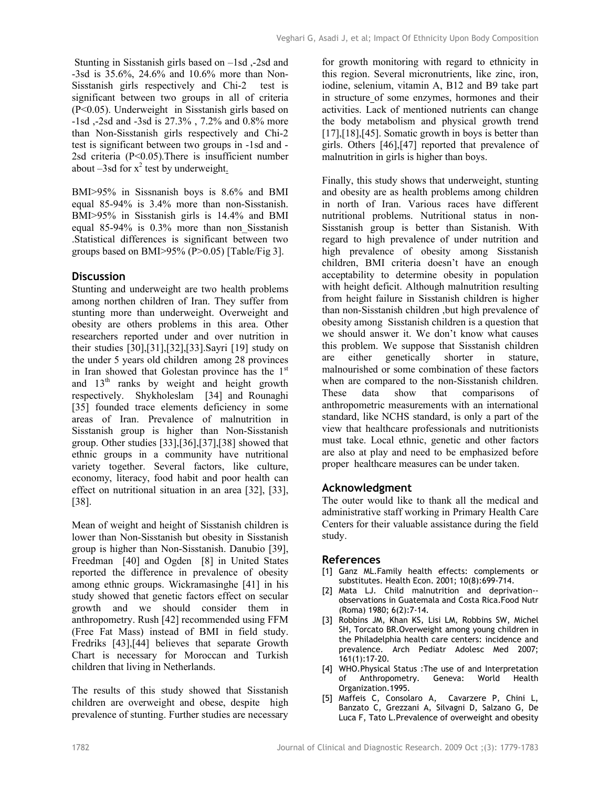Stunting in Sisstanish girls based on –1sd ,-2sd and -3sd is 35.6%, 24.6% and 10.6% more than Non-Sisstanish girls respectively and Chi-2 test is significant between two groups in all of criteria (P<0.05). Underweight in Sisstanish girls based on -1sd ,-2sd and -3sd is 27.3% , 7.2% and 0.8% more than Non-Sisstanish girls respectively and Chi-2 test is significant between two groups in -1sd and - 2sd criteria (P<0.05).There is insufficient number about  $-3$ sd for  $x^2$  test by underweight.

BMI>95% in Sissnanish boys is 8.6% and BMI equal 85-94% is 3.4% more than non-Sisstanish. BMI>95% in Sisstanish girls is 14.4% and BMI equal 85-94% is 0.3% more than non\_Sisstanish .Statistical differences is significant between two groups based on BMI>95% (P>0.05) [Table/Fig 3].

### **Discussion**

Stunting and underweight are two health problems among northen children of Iran. They suffer from stunting more than underweight. Overweight and obesity are others problems in this area. Other researchers reported under and over nutrition in their studies [30],[31],[32],[33].Sayri [19] study on the under 5 years old children among 28 provinces in Iran showed that Golestan province has the 1<sup>st</sup> and  $13<sup>th</sup>$  ranks by weight and height growth respectively. Shykholeslam [34] and Rounaghi [35] founded trace elements deficiency in some areas of Iran. Prevalence of malnutrition in Sisstanish group is higher than Non-Sisstanish group. Other studies [33],[36],[37],[38] showed that ethnic groups in a community have nutritional variety together. Several factors, like culture, economy, literacy, food habit and poor health can effect on nutritional situation in an area [32], [33], [38].

Mean of weight and height of Sisstanish children is lower than Non-Sisstanish but obesity in Sisstanish group is higher than Non-Sisstanish. Danubio [39], Freedman [40] and Ogden [8] in United States reported the difference in prevalence of obesity among ethnic groups. Wickramasinghe [41] in his study showed that genetic factors effect on secular growth and we should consider them in anthropometry. Rush [42] recommended using FFM (Free Fat Mass) instead of BMI in field study. Fredriks [43],[44] believes that separate Growth Chart is necessary for Moroccan and Turkish children that living in Netherlands.

The results of this study showed that Sisstanish children are overweight and obese, despite high prevalence of stunting. Further studies are necessary

for growth monitoring with regard to ethnicity in this region. Several micronutrients, like zinc, iron, iodine, selenium, vitamin A, B12 and B9 take part in structure of some enzymes, hormones and their activities. Lack of mentioned nutrients can change the body metabolism and physical growth trend [17],[18],[45]. Somatic growth in boys is better than girls. Others [46],[47] reported that prevalence of malnutrition in girls is higher than boys.

Finally, this study shows that underweight, stunting and obesity are as health problems among children in north of Iran. Various races have different nutritional problems. Nutritional status in non-Sisstanish group is better than Sistanish. With regard to high prevalence of under nutrition and high prevalence of obesity among Sisstanish children, BMI criteria doesn't have an enough acceptability to determine obesity in population with height deficit. Although malnutrition resulting from height failure in Sisstanish children is higher than non-Sisstanish children ,but high prevalence of obesity among Sisstanish children is a question that we should answer it. We don't know what causes this problem. We suppose that Sisstanish children are either genetically shorter in stature, malnourished or some combination of these factors when are compared to the non-Sisstanish children. These data show that comparisons of anthropometric measurements with an international standard, like NCHS standard, is only a part of the view that healthcare professionals and nutritionists must take. Local ethnic, genetic and other factors are also at play and need to be emphasized before proper healthcare measures can be under taken.

### **Acknowledgment**

The outer would like to thank all the medical and administrative staff working in Primary Health Care Centers for their valuable assistance during the field study.

#### **References**

- [1] Ganz ML.Family health effects: complements or substitutes. Health Econ. 2001; 10(8):699-714.
- [2] Mata LJ. Child malnutrition and deprivation- observations in Guatemala and Costa Rica.Food Nutr (Roma) 1980; 6(2):7-14.
- [3] Robbins JM, Khan KS, Lisi LM, Robbins SW, Michel SH, Torcato BR.Overweight among young children in the Philadelphia health care centers: incidence and prevalence. Arch Pediatr Adolesc Med 2007; 161(1):17-20.
- [4] WHO.Physical Status :The use of and Interpretation of Anthropometry. Geneva: World Health Organization.1995.
- [5] Maffeis C, Consolaro A, Cavarzere P, Chini L, Banzato C, Grezzani A, Silvagni D, Salzano G, De Luca F, Tato L.Prevalence of overweight and obesity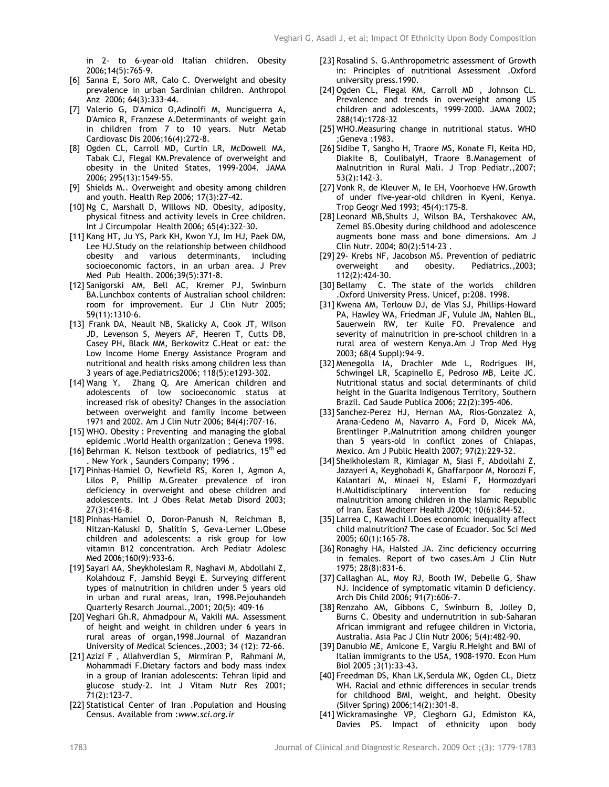in 2- to 6-year-old Italian children. Obesity 2006;14(5):765-9.

- [6] Sanna E, Soro MR, Calo C. Overweight and obesity prevalence in urban Sardinian children. Anthropol Anz 2006; 64(3):333-44.
- [7] Valerio G, D'Amico O,Adinolfi M, Munciguerra A, D'Amico R, Franzese A.Determinants of weight gain in children from 7 to 10 years. Nutr Metab Cardiovasc Dis 2006;16(4):272-8.
- [8] Ogden CL, Carroll MD, Curtin LR, McDowell MA, Tabak CJ, Flegal KM.Prevalence of overweight and obesity in the United States, 1999-2004. JAMA 2006; 295(13):1549-55.
- [9] Shields M.. Overweight and obesity among children and youth. Health Rep 2006; 17(3):27-42.
- [10] Ng C, Marshall D, Willows ND. Obesity, adiposity, physical fitness and activity levels in Cree children. Int J Circumpolar Health 2006; 65(4):322-30.
- [11] Kang HT, Ju YS, Park KH, Kwon YJ, Im HJ, Paek DM, Lee HJ.Study on the relationship between childhood obesity and various determinants, including socioeconomic factors, in an urban area. J Prev Med Pub Health. 2006;39(5):371-8.
- [12] Sanigorski AM, Bell AC, Kremer PJ, Swinburn BA.Lunchbox contents of Australian school children: room for improvement. Eur J Clin Nutr 2005; 59(11):1310-6.
- [13] Frank DA, Neault NB, Skalicky A, Cook JT, Wilson JD, Levenson S, Meyers AF, Heeren T, Cutts DB, Casey PH, Black MM, Berkowitz C.Heat or eat: the Low Income Home Energy Assistance Program and nutritional and health risks among children less than 3 years of age.Pediatrics2006; 118(5):e1293-302.
- [14] Wang Y, Zhang Q. Are American children and adolescents of low socioeconomic status at increased risk of obesity? Changes in the association between overweight and family income between 1971 and 2002. Am J Clin Nutr 2006; 84(4):707-16.
- [15] WHO. Obesity : Preventing and managing the global epidemic .World Health organization ; Geneva 1998.
- [16] Behrman K. Nelson textbook of pediatrics,  $15<sup>th</sup>$  ed . New York , Saunders Company; 1996 .
- [17] Pinhas-Hamiel O, Newfield RS, Koren I, Agmon A, Lilos P, Phillip M.Greater prevalence of iron deficiency in overweight and obese children and adolescents. Int J Obes Relat Metab Disord 2003; 27(3):416-8.
- [18] Pinhas-Hamiel O, Doron-Panush N, Reichman B, Nitzan-Kaluski D, Shalitin S, Geva-Lerner L.Obese children and adolescents: a risk group for low vitamin B12 concentration. Arch Pediatr Adolesc Med 2006;160(9):933-6.
- [19] Sayari AA, Sheykholeslam R, Naghavi M, Abdollahi Z, Kolahdouz F, Jamshid Beygi E. Surveying different types of malnutrition in children under 5 years old in urban and rural areas, Iran, 1998.Pejouhandeh Quarterly Resarch Journal.,2001; 20(5): 409-16
- [20] Veghari Gh.R, Ahmadpour M, Vakili MA. Assessment of height and weight in children under 6 years in rural areas of organ,1998.Journal of Mazandran University of Medical Sciences.,2003; 34 (12): 72-66.
- [21] Azizi F , Allahverdian S, Mirmiran P, Rahmani M, Mohammadi F.Dietary factors and body mass index in a group of Iranian adolescents: Tehran lipid and glucose study-2. Int J Vitam Nutr Res 2001; 71(2):123-7.
- [22] Statistical Center of Iran .Population and Housing Census. Available from :*www.sci.org.ir*
- [23] Rosalind S. G.Anthropometric assessment of Growth in: Principles of nutritional Assessment .Oxford university press.1990.
- [24] Ogden CL, Flegal KM, Carroll MD , Johnson CL. Prevalence and trends in overweight among US children and adolescents, 1999-2000. JAMA 2002; 288(14):1728-32
- [25] WHO.Measuring change in nutritional status. WHO ;Geneva :1983.
- [26] Sidibe T, Sangho H, Traore MS, Konate FI, Keita HD, Diakite B, CoulibalyH, Traore B.Management of Malnutrition in Rural Mali. J Trop Pediatr.,2007; 53(2):142-3.
- [27] Vonk R, de Kleuver M, Ie EH, Voorhoeve HW.Growth of under five-year-old children in Kyeni, Kenya. Trop Geogr Med 1993; 45(4):175-8.
- [28] Leonard MB,Shults J, Wilson BA, Tershakovec AM, Zemel BS.Obesity during childhood and adolescence augments bone mass and bone dimensions. Am J Clin Nutr. 2004; 80(2):514-23 .
- [29] 29- Krebs NF, Jacobson MS. Prevention of pediatric overweight and obesity. Pediatrics.,2003; 112(2):424-30.
- [30] Bellamy C. The state of the worlds children .Oxford University Press. Unicef, p:208. 1998.
- [31] Kwena AM, Terlouw DJ, de Vlas SJ, Phillips-Howard PA, Hawley WA, Friedman JF, Vulule JM, Nahlen BL, Sauerwein RW, ter Kuile FO. Prevalence and severity of malnutrition in pre-school children in a rural area of western Kenya.Am J Trop Med Hyg 2003; 68(4 Suppl):94-9.
- [32] Menegolla IA, Drachler Mde L, Rodrigues IH, Schwingel LR, Scapinello E, Pedroso MB, Leite JC. Nutritional status and social determinants of child height in the Guarita Indigenous Territory, Southern Brazil. Cad Saude Publica 2006; 22(2):395-406.
- [33] Sanchez-Perez HJ, Hernan MA, Rios-Gonzalez A, Arana-Cedeno M, Navarro A, Ford D, Micek MA, Brentlinger P.Malnutrition among children younger than 5 years-old in conflict zones of Chiapas, Mexico. Am J Public Health 2007; 97(2):229-32.
- [34] Sheikholeslam R, Kimiagar M, Siasi F, Abdollahi Z, Jazayeri A, Keyghobadi K, Ghaffarpoor M, Noroozi F, Kalantari M, Minaei N, Eslami F, Hormozdyari H.Multidisciplinary intervention for reducing malnutrition among children in the Islamic Republic of Iran. East Mediterr Health J2004; 10(6):844-52.
- [35] Larrea C, Kawachi I.Does economic inequality affect child malnutrition? The case of Ecuador. Soc Sci Med 2005; 60(1):165-78.
- [36] Ronaghy HA, Halsted JA, Zinc deficiency occurring in females. Report of two cases.Am J Clin Nutr 1975; 28(8):831-6.
- [37] Callaghan AL, Moy RJ, Booth IW, Debelle G, Shaw NJ. Incidence of symptomatic vitamin D deficiency. Arch Dis Child 2006; 91(7):606-7.
- [38] Renzaho AM, Gibbons C, Swinburn B, Jolley D, Burns C. Obesity and undernutrition in sub-Saharan African immigrant and refugee children in Victoria, Australia. Asia Pac J Clin Nutr 2006; 5(4):482-90.
- [39] Danubio ME, Amicone E, Vargiu R.Height and BMI of Italian immigrants to the USA, 1908-1970. Econ Hum Biol 2005 ;3(1):33-43.
- [40] Freedman DS, Khan LK,Serdula MK, Ogden CL, Dietz WH. Racial and ethnic differences in secular trends for childhood BMI, weight, and height. Obesity (Silver Spring) 2006;14(2):301-8.
- [41] Wickramasinghe VP, Cleghorn GJ, Edmiston KA, Davies PS. Impact of ethnicity upon body